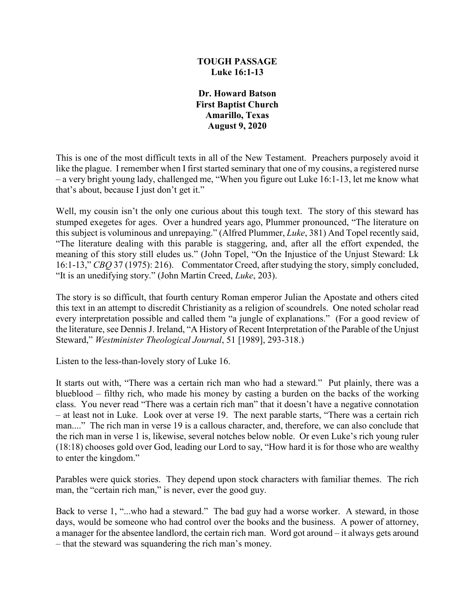### **TOUGH PASSAGE Luke 16:1-13**

**Dr. Howard Batson First Baptist Church Amarillo, Texas August 9, 2020**

This is one of the most difficult texts in all of the New Testament. Preachers purposely avoid it like the plague. I remember when I first started seminary that one of my cousins, a registered nurse – a very bright young lady, challenged me, "When you figure out Luke 16:1-13, let me know what that's about, because I just don't get it."

Well, my cousin isn't the only one curious about this tough text. The story of this steward has stumped exegetes for ages. Over a hundred years ago, Plummer pronounced, "The literature on this subject is voluminous and unrepaying." (Alfred Plummer, *Luke*, 381) And Topel recently said, "The literature dealing with this parable is staggering, and, after all the effort expended, the meaning of this story still eludes us." (John Topel, "On the Injustice of the Unjust Steward: Lk 16:1-13," *CBQ* 37 (1975): 216). Commentator Creed, after studying the story, simply concluded, "It is an unedifying story." (John Martin Creed, *Luke*, 203).

The story is so difficult, that fourth century Roman emperor Julian the Apostate and others cited this text in an attempt to discredit Christianity as a religion of scoundrels. One noted scholar read every interpretation possible and called them "a jungle of explanations." (For a good review of the literature, see Dennis J. Ireland, "A History of Recent Interpretation of the Parable of the Unjust Steward," *Westminister Theological Journal*, 51 [1989], 293-318.)

Listen to the less-than-lovely story of Luke 16.

It starts out with, "There was a certain rich man who had a steward." Put plainly, there was a blueblood – filthy rich, who made his money by casting a burden on the backs of the working class. You never read "There was a certain rich man" that it doesn't have a negative connotation – at least not in Luke. Look over at verse 19. The next parable starts, "There was a certain rich man...." The rich man in verse 19 is a callous character, and, therefore, we can also conclude that the rich man in verse 1 is, likewise, several notches below noble. Or even Luke's rich young ruler (18:18) chooses gold over God, leading our Lord to say, "How hard it is for those who are wealthy to enter the kingdom."

Parables were quick stories. They depend upon stock characters with familiar themes. The rich man, the "certain rich man," is never, ever the good guy.

Back to verse 1, "...who had a steward." The bad guy had a worse worker. A steward, in those days, would be someone who had control over the books and the business. A power of attorney, a manager for the absentee landlord, the certain rich man. Word got around – it always gets around – that the steward was squandering the rich man's money.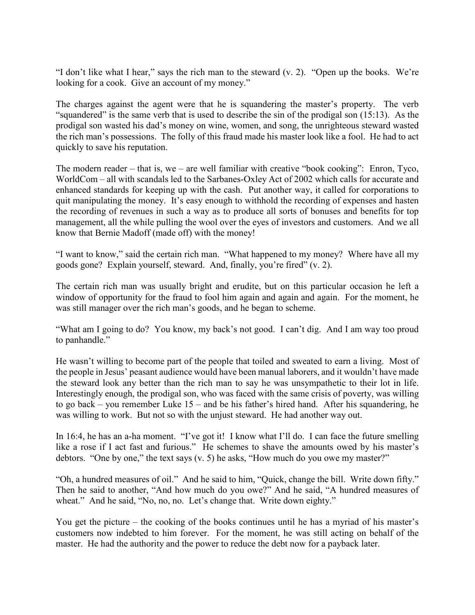"I don't like what I hear," says the rich man to the steward (v. 2). "Open up the books. We're looking for a cook. Give an account of my money."

The charges against the agent were that he is squandering the master's property. The verb "squandered" is the same verb that is used to describe the sin of the prodigal son (15:13). As the prodigal son wasted his dad's money on wine, women, and song, the unrighteous steward wasted the rich man's possessions. The folly of this fraud made his master look like a fool. He had to act quickly to save his reputation.

The modern reader – that is, we – are well familiar with creative "book cooking": Enron, Tyco, WorldCom – all with scandals led to the Sarbanes-Oxley Act of 2002 which calls for accurate and enhanced standards for keeping up with the cash. Put another way, it called for corporations to quit manipulating the money. It's easy enough to withhold the recording of expenses and hasten the recording of revenues in such a way as to produce all sorts of bonuses and benefits for top management, all the while pulling the wool over the eyes of investors and customers. And we all know that Bernie Madoff (made off) with the money!

"I want to know," said the certain rich man. "What happened to my money? Where have all my goods gone? Explain yourself, steward. And, finally, you're fired" (v. 2).

The certain rich man was usually bright and erudite, but on this particular occasion he left a window of opportunity for the fraud to fool him again and again and again. For the moment, he was still manager over the rich man's goods, and he began to scheme.

"What am I going to do? You know, my back's not good. I can't dig. And I am way too proud to panhandle."

He wasn't willing to become part of the people that toiled and sweated to earn a living. Most of the people in Jesus' peasant audience would have been manual laborers, and it wouldn't have made the steward look any better than the rich man to say he was unsympathetic to their lot in life. Interestingly enough, the prodigal son, who was faced with the same crisis of poverty, was willing to go back – you remember Luke 15 – and be his father's hired hand. After his squandering, he was willing to work. But not so with the unjust steward. He had another way out.

In 16:4, he has an a-ha moment. "I've got it! I know what I'll do. I can face the future smelling like a rose if I act fast and furious." He schemes to shave the amounts owed by his master's debtors. "One by one," the text says (v. 5) he asks, "How much do you owe my master?"

"Oh, a hundred measures of oil." And he said to him, "Quick, change the bill. Write down fifty." Then he said to another, "And how much do you owe?" And he said, "A hundred measures of wheat." And he said, "No, no, no. Let's change that. Write down eighty."

You get the picture – the cooking of the books continues until he has a myriad of his master's customers now indebted to him forever. For the moment, he was still acting on behalf of the master. He had the authority and the power to reduce the debt now for a payback later.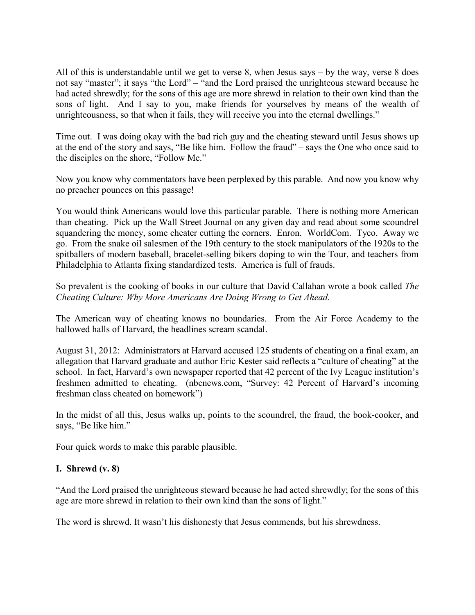All of this is understandable until we get to verse 8, when Jesus says – by the way, verse 8 does not say "master"; it says "the Lord" – "and the Lord praised the unrighteous steward because he had acted shrewdly; for the sons of this age are more shrewd in relation to their own kind than the sons of light. And I say to you, make friends for yourselves by means of the wealth of unrighteousness, so that when it fails, they will receive you into the eternal dwellings."

Time out. I was doing okay with the bad rich guy and the cheating steward until Jesus shows up at the end of the story and says, "Be like him. Follow the fraud" – says the One who once said to the disciples on the shore, "Follow Me."

Now you know why commentators have been perplexed by this parable. And now you know why no preacher pounces on this passage!

You would think Americans would love this particular parable. There is nothing more American than cheating. Pick up the Wall Street Journal on any given day and read about some scoundrel squandering the money, some cheater cutting the corners. Enron. WorldCom. Tyco. Away we go. From the snake oil salesmen of the 19th century to the stock manipulators of the 1920s to the spitballers of modern baseball, bracelet-selling bikers doping to win the Tour, and teachers from Philadelphia to Atlanta fixing standardized tests. America is full of frauds.

So prevalent is the cooking of books in our culture that David Callahan wrote a book called *The Cheating Culture: Why More Americans Are Doing Wrong to Get Ahead.*

The American way of cheating knows no boundaries. From the Air Force Academy to the hallowed halls of Harvard, the headlines scream scandal.

August 31, 2012: Administrators at Harvard accused 125 students of cheating on a final exam, an allegation that Harvard graduate and author Eric Kester said reflects a "culture of cheating" at the school. In fact, Harvard's own newspaper reported that 42 percent of the Ivy League institution's freshmen admitted to cheating. (nbcnews.com, "Survey: 42 Percent of Harvard's incoming freshman class cheated on homework")

In the midst of all this, Jesus walks up, points to the scoundrel, the fraud, the book-cooker, and says, "Be like him."

Four quick words to make this parable plausible.

# **I. Shrewd (v. 8)**

"And the Lord praised the unrighteous steward because he had acted shrewdly; for the sons of this age are more shrewd in relation to their own kind than the sons of light."

The word is shrewd. It wasn't his dishonesty that Jesus commends, but his shrewdness.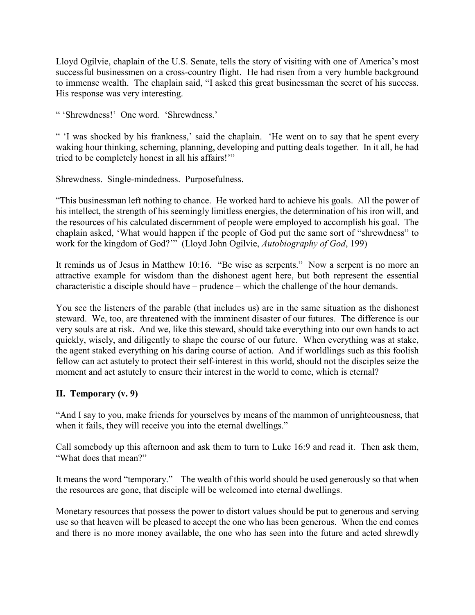Lloyd Ogilvie, chaplain of the U.S. Senate, tells the story of visiting with one of America's most successful businessmen on a cross-country flight. He had risen from a very humble background to immense wealth. The chaplain said, "I asked this great businessman the secret of his success. His response was very interesting.

" 'Shrewdness!' One word. 'Shrewdness.'

" 'I was shocked by his frankness,' said the chaplain. 'He went on to say that he spent every waking hour thinking, scheming, planning, developing and putting deals together. In it all, he had tried to be completely honest in all his affairs!'"

Shrewdness. Single-mindedness. Purposefulness.

"This businessman left nothing to chance. He worked hard to achieve his goals. All the power of his intellect, the strength of his seemingly limitless energies, the determination of his iron will, and the resources of his calculated discernment of people were employed to accomplish his goal. The chaplain asked, 'What would happen if the people of God put the same sort of "shrewdness" to work for the kingdom of God?'" (Lloyd John Ogilvie, *Autobiography of God*, 199)

It reminds us of Jesus in Matthew 10:16. "Be wise as serpents." Now a serpent is no more an attractive example for wisdom than the dishonest agent here, but both represent the essential characteristic a disciple should have – prudence – which the challenge of the hour demands.

You see the listeners of the parable (that includes us) are in the same situation as the dishonest steward. We, too, are threatened with the imminent disaster of our futures. The difference is our very souls are at risk. And we, like this steward, should take everything into our own hands to act quickly, wisely, and diligently to shape the course of our future. When everything was at stake, the agent staked everything on his daring course of action. And if worldlings such as this foolish fellow can act astutely to protect their self-interest in this world, should not the disciples seize the moment and act astutely to ensure their interest in the world to come, which is eternal?

# **II. Temporary (v. 9)**

"And I say to you, make friends for yourselves by means of the mammon of unrighteousness, that when it fails, they will receive you into the eternal dwellings."

Call somebody up this afternoon and ask them to turn to Luke 16:9 and read it. Then ask them, "What does that mean?"

It means the word "temporary." The wealth of this world should be used generously so that when the resources are gone, that disciple will be welcomed into eternal dwellings.

Monetary resources that possess the power to distort values should be put to generous and serving use so that heaven will be pleased to accept the one who has been generous. When the end comes and there is no more money available, the one who has seen into the future and acted shrewdly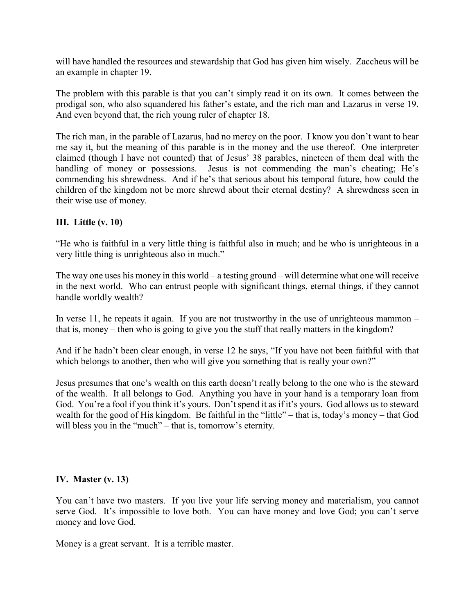will have handled the resources and stewardship that God has given him wisely. Zaccheus will be an example in chapter 19.

The problem with this parable is that you can't simply read it on its own. It comes between the prodigal son, who also squandered his father's estate, and the rich man and Lazarus in verse 19. And even beyond that, the rich young ruler of chapter 18.

The rich man, in the parable of Lazarus, had no mercy on the poor. I know you don't want to hear me say it, but the meaning of this parable is in the money and the use thereof. One interpreter claimed (though I have not counted) that of Jesus' 38 parables, nineteen of them deal with the handling of money or possessions. Jesus is not commending the man's cheating; He's commending his shrewdness. And if he's that serious about his temporal future, how could the children of the kingdom not be more shrewd about their eternal destiny? A shrewdness seen in their wise use of money.

# **III. Little (v. 10)**

"He who is faithful in a very little thing is faithful also in much; and he who is unrighteous in a very little thing is unrighteous also in much."

The way one uses his money in this world – a testing ground – will determine what one will receive in the next world. Who can entrust people with significant things, eternal things, if they cannot handle worldly wealth?

In verse 11, he repeats it again. If you are not trustworthy in the use of unrighteous mammon  $$ that is, money – then who is going to give you the stuff that really matters in the kingdom?

And if he hadn't been clear enough, in verse 12 he says, "If you have not been faithful with that which belongs to another, then who will give you something that is really your own?"

Jesus presumes that one's wealth on this earth doesn't really belong to the one who is the steward of the wealth. It all belongs to God. Anything you have in your hand is a temporary loan from God. You're a fool if you think it's yours. Don't spend it as if it's yours. God allows us to steward wealth for the good of His kingdom. Be faithful in the "little" – that is, today's money – that God will bless you in the "much" – that is, tomorrow's eternity.

### **IV. Master (v. 13)**

You can't have two masters. If you live your life serving money and materialism, you cannot serve God. It's impossible to love both. You can have money and love God; you can't serve money and love God.

Money is a great servant. It is a terrible master.